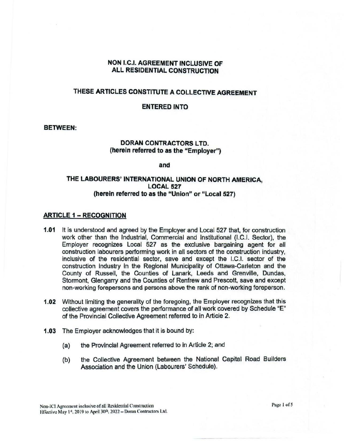## NON I.C.I. AGREEMENT INCLUSIVE OF ALL RESIDENTIAL CONSTRUCTION

# THESE ARTICLES CONSTITUTE A COLLECTIVE AGREEMENT

#### ENTERED INTO

#### **BETWEEN:**

### **DORAN CONTRACTORS LTD. (herein referred to as the "Employer")**

**and** 

## **THE LABOURERS' INTERNATIONAL UNION OF NORTH AMERICA, LOCAL 527 (herein referred to as the "Union" or "Local 527)**

#### **ARTICLE 1** - **RECOGNITION**

- **1.01** It Is understood and agreed by the Employer and Local 527 that, for construction work other than the Industrial, Commercial and Institutional (LC.I. Sector), the Employer recognizes local 527 as the exclusive bargaining agent for all construction labourers performing work in all sectors of the construction industry, inclusive of the residential sector, save and except the LC.I. sector of the construction industry in the Regional Municipality of Ottawa•Carleton and the County of Russell, the Counties of Lanark, Leeds and Grenville, Dundas, Stormont, Glengarry and the Counties of Renfrew and Prescott, save and except non-working forepersons and persons above the rank of non-working foreperson.
- **1.02** Without limiting the generality of the foregoing, the Employer recognizes that this collective agreement covers the performance of all work covered by Schedule "E" of the Provincial Collective Agreement referred to in Article 2.
- **1.03** The Employer acknowledges that it is bound by:
	- (a) the Provincial Agreement referred to in Article 2; and
	- (b) the Collective Agreement between the National Capital Road Builders Association and the Union (Labourers' Schedule).

Page 1 of 5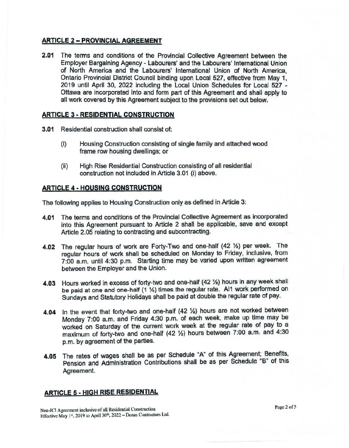# **ARTICLE 2 - PROVINCIAL AGREEMENT**

**2.01** The terms and conditions of the Provincial Collective Agreement between the Employer Bargaining Agency - Labourers' and the Labourers' International Union of North America and the Labourers' International Union of North America Ontario Provincial District Council binding upon Local 527, effective from May 1, 2019 until April 30, 2022 including the Local Union Schedules for Local 527 - Ottawa are incorporated into and form part of this Agreement and shall apply to all work covered by this Agreement subject to the provisions set out below.

# **ARTICLE 3 - RESIDENTIAL CONSTRUCTION**

- **3.01** Residential construction shall consist of:
	- (i) Housing Construction consisting of single family and attached wood frame row housing dwellings; or
	- (ii) High Rise Residential Construction consisting of all residential construction not included in Article 3.01 (i) above.

# **ARTICLE 4 - HOUSING CONSTRUCTION**

The following applies to Housing Construction only as defined in Article 3:

- **4.01** The terms and conditions of the Provincial Collective Agreement as incorporated into this Agreement pursuant to Article 2 shall be applicable, save and except Article 2.05 relating to contracting and subcontracting.
- **4.02** The regular hours of work are Forty-Two and one-half (42 ½) per week. The regular hours of work shall be scheduled on Monday to Friday, inclusive, from 7:00 a.m. until 4:30 p.m. Starting time may be varied upon written agreement between the Employer and the Union.
- **4.03** Hours worked in excess of forty-two and one-half (42 ½) hours In any week shall be paid at one and one-half (1 ½) times the regular rate. Al1 work performed on Sundays and Statutory Holidays shall be paid at double the regular rate of pay.
- **4.04** In the event that forty-two and one-half (42 ½) hours are not worked between Monday 7:00 a.m. and Friday 4:30 p.m. of each week, make up time may be worked on Saturday of the current work week at the regular rate of pay to a maximum of forty-two and one-half (42 1/2) hours between 7:00 a.m. and 4:30 p.m. by agreement of the parties.
- **4.05** The rates of wages shall be as per Schedule "A" of this Agreement; Benefits, Pension and Administration Contributions shall be as per Schedule **"B"** of this Agreement.

# **ARTICLE 5 - HIGH RISE RESIDENTIAL**

Non-ICI Agreement inclusive of all Residential Construction Hiffective May 1<sup>st</sup>, 2019 to April 30<sup>th</sup>, 2022 – Doran Contractors Ltd.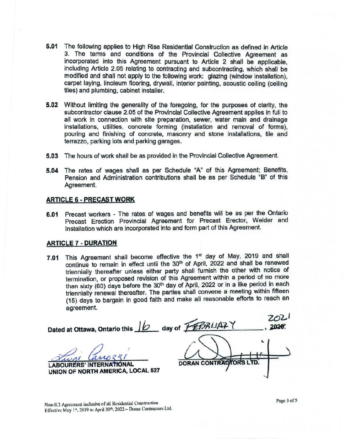- **5.01** The following applies to High Rise Residential Construction as defined in Article 3. The terms and conditions of the Provincial Collective Agreement as incorporated into this Agreement pursuant to Article 2 shall be applicable, including Article 2.05 relating to contracting and subcontracting, which shall be modified and shall not apply to the following work: glazing (window installation), carpet laying, linoleum flooring, drywall, interior painting, acoustic ceiling (ceiling tiles) and plumbing, cabinet installer.
- **5.02** Without limiting the generality of the foregoing, for the purposes of clarity, the subcontractor clause 2.05 of the Provincial Collective Agreement applies in full to all work in connection with site preparation, sewer, water main and drainage installations, utilities, concrete forming (installation and removal of forms), pouring and finishing of concrete, masonry and stone installations, tile and terrazzo, parking lots and parking garages.
- **5.03** The hours of work shall be as provided in the Provincial Collective Agreement.
- **5.04** The rates of wages shall as per Schedule "A" of this Agreement; Benefits, Pension and Administration contributions shall be as per Schedule "B" of this Agreement.

#### **ARTICLE 6** - **PRECAST WORK**

**6.01** Precast workers - The rates of wages and benefits will be as per the Ontario Precast Erection Provincial Agreement for Precast Erector, Welder and Installation which are incorporated into and form part of this Agreement.

#### **ARTICLE 7** • **DURATION**

**7.01** This Agreement shall become effective the 1st day of May, 2019 and shall continue to remain in effect until the 30<sup>th</sup> of April, 2022 and shall be renewed triennially thereafter unless either party shall furnish the other with notice of termination, or proposed revision of this Agreement within a period of no more than sixty (60) days before the 30<sup>th</sup> day of April, 2022 or in a like period in each triennially renewal thereafter. The parties shall convene a meeting within fifteen (15) days to bargain in good faith and make all reasonable efforts to reach an agreement.

**Dated at Ottawa, Ontario this 10 day of <b>FEBRIAZ**Y 2020. ~ *tZo I* ' . .,,, *<sup>I</sup>* **DORAN CONTRAC** ORS **LABOURERS' INTERNATE UNION OF NORTH AMERICA, LOCAL 527** 

Non-ICI Agreement inclusive of all Residential Construction Effective May 1<sup>st</sup>, 2019 to April 30<sup>th</sup>, 2022 - Doran Contractors Ltd. Page 3 of 5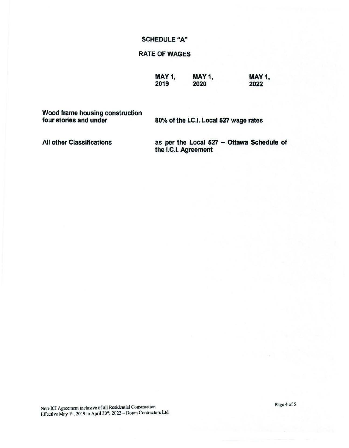# **SCHEDULE "A"**

# **RATE OF WAGES**

| MAY 1, | <b>MAY 1,</b> | MAY 1, |  |  |
|--------|---------------|--------|--|--|
| 2019   | 2020          | 2022   |  |  |

Wood frame housing construction four stories and under

80% of the I.C.I. Local 527 wage rates

**All other Classifications** 

as per the Local 527 - Ottawa Schedule of the I.C.I. Agreement